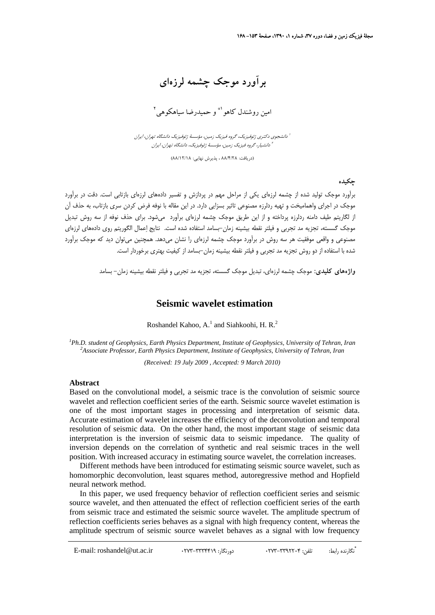**برآورد موجك چشمه لرزهاي** 

امين روشندل كاهو <sup>1\*</sup> و حميدرضا سياهكوهي<sup>٢</sup>

دانشجوي دكتري ژئوفيزيك، گروه فيزيك زمين، مؤسسة ژئوفيزيك دانشگاه تهران، ايران <sup>1</sup> دانشيار، گروه فيزيك زمين، مؤسسة ژئوفيزيك، دانشگاه تهران، ايران <sup>2</sup>

(دريافت: 88/4/28 ، پذيرش نهايي: 88/12/18)

**چكيده** 

برآورد موجك توليد شده از چشمه لرزهاي يكي از مراحل مهم در پردازش و تفسير دادههاي لرزهاي بازتابي است. دقت در برآورد موجك در اجراي واهماميخت و تهيه ردلرزه مصنوعي تاثير بسزايي دارد. در اين مقاله با نوفه فرض كردن سري بازتاب، به حذف آن از لگاريتم طيف دامنه ردلرزه پرداخته و از اين طريق موجك چشمه لرزهاي برآورد ميشود. براي حذف نوفه از سه روش تبديل موجك گسسته، تجزيه مد تجربي و فيلتر نقطه بيشينه زمان-بسامد استفاده شده است. نتايج اعمال الگوريتم روي دادههاي لرزهاي مصنوعي و واقعي موفقيت هر سه روش در برآورد موجك چشمه لرزهاي را نشان ميدهد. همچنين ميتوان ديد كه موجك برآورد شده با استفاده از دو روش تجزيه مد تجربي و فيلتر نقطه بيشينه زمان-بسامد از كيفيت بهتري برخوردار است.

**واژههاي كليدي:** موجك چشمه لرزهاي، تبديل موجك گسسته، تجزيه مد تجربي و فيلتر نقطه بيشينه زمان- بسامد

### **Seismic wavelet estimation**

Roshandel Kahoo, A.<sup>1</sup> and Siahkoohi, H. R.<sup>2</sup>

*1 Ph.D. student of Geophysics, Earth Physics Department, Institute of Geophysics, University of Tehran, Iran <sup>2</sup> Associate Professor, Earth Physics Department, Institute of Geophysics, University of Tehran, Iran*

*(Received: 19 July 2009 , Accepted: 9 March 2010)*

#### **Abstract**

Based on the convolutional model, a seismic trace is the convolution of seismic source wavelet and reflection coefficient series of the earth. Seismic source wavelet estimation is one of the most important stages in processing and interpretation of seismic data. Accurate estimation of wavelet increases the efficiency of the deconvolution and temporal resolution of seismic data. On the other hand, the most important stage of seismic data interpretation is the inversion of seismic data to seismic impedance. The quality of inversion depends on the correlation of synthetic and real seismic traces in the well position. With increased accuracy in estimating source wavelet, the correlation increases.

Different methods have been introduced for estimating seismic source wavelet, such as homomorphic deconvolution, least squares method, autoregressive method and Hopfield neural network method.

In this paper, we used frequency behavior of reflection coefficient series and seismic source wavelet, and then attenuated the effect of reflection coefficient series of the earth from seismic trace and estimated the seismic source wavelet. The amplitude spectrum of reflection coefficients series behaves as a signal with high frequency content, whereas the amplitude spectrum of seismic source wavelet behaves as a signal with low frequency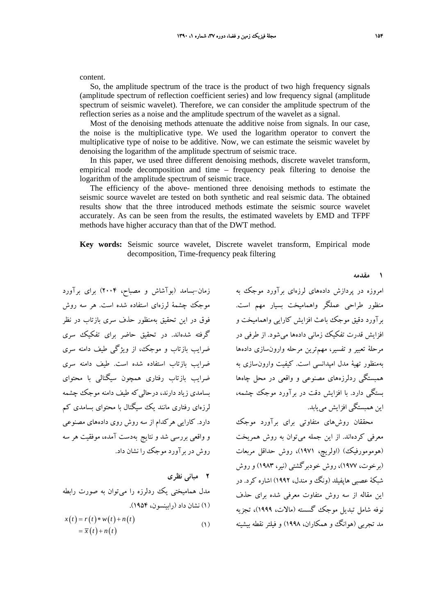content.

So, the amplitude spectrum of the trace is the product of two high frequency signals (amplitude spectrum of reflection coefficient series) and low frequency signal (amplitude spectrum of seismic wavelet). Therefore, we can consider the amplitude spectrum of the reflection series as a noise and the amplitude spectrum of the wavelet as a signal.

Most of the denoising methods attenuate the additive noise from signals. In our case, the noise is the multiplicative type. We used the logarithm operator to convert the multiplicative type of noise to be additive. Now, we can estimate the seismic wavelet by denoising the logarithm of the amplitude spectrum of seismic trace.

In this paper, we used three different denoising methods, discrete wavelet transform, empirical mode decomposition and time – frequency peak filtering to denoise the logarithm of the amplitude spectrum of seismic trace.

The efficiency of the above- mentioned three denoising methods to estimate the seismic source wavelet are tested on both synthetic and real seismic data. The obtained results show that the three introduced methods estimate the seismic source wavelet accurately. As can be seen from the results, the estimated wavelets by EMD and TFPF methods have higher accuracy than that of the DWT method.

### **Key words:** Seismic source wavelet, Discrete wavelet transform, Empirical mode decomposition, Time-frequency peak filtering

زمان-بسامد (بوآشاش و مصباح، 2004) براي برآورد موجك چشمة لرزهاي استفاده شده است. هر سه روش فوق در اين تحقيق بهمنظور حذف سري بازتاب در نظر گرفته شدهاند. در تحقيق حاضر براي تفكيك سري ضرايب بازتاب و موجك، از ويژگي طيف دامنه سري ضرايب بازتاب استفاده شده است. طيف دامنه سري ضرايب بازتاب رفتاري همچون سيگنالي با محتواي بسامدي زياد دارند، درحاليكه طيف دامنه موجك چشمه لرزهاي رفتاري مانند يك سيگنال با محتواي بسامدي كم دارد. كارايي هركدام از سه روش روي دادههاي مصنوعي و واقعي بررسي شد و نتايج بهدست آمده، موفقيت هر سه روش در برآورد موجك را نشان داد.

# **2 مباني نظري** مدل هماميختي يك ردلرزه را ميتوان به صورت رابطه (1) نشان داد (رابينسون، 1954).

$$
x(t) = r(t) * w(t) + n(t)
$$
  
=  $\overline{x}(t) + n(t)$  (1)

امروزه در پردازش دادههاي لرزهاي برآورد موجك به منظور طراحي عملگر واهماميخت بسيار مهم است. برآورد دقيق موجك باعث افزايش كارايي واهماميخت و افزايش قدرت تفكيك زماني دادهها ميشود. از طرفي در مرحلة تعبير و تفسير، مهمترين مرحله وارونسازي دادهها بهمنظور تهية مدل امپدانسي است. كيفيت وارونسازي به همبستگي ردلرزههاي مصنوعي و واقعي در محل چاهها بستگي دارد. با افزايش دقت در برآورد موجك چشمه، اين همبستگي افزايش مييابد.

محققان روشهاي متفاوتي براي برآورد موجك معرفي كردهاند. از اين جمله ميتوان به روش همريخت (هومومورفيك) (اولريچ، 1971)، روش حداقل مربعات (برخوت، 1977)، روش خودبرگشتي (نير، 1983) و روش شبكة عصبي هاپفيلد (ونگ و مندل، 1992) اشاره كرد. در اين مقاله از سه روش متفاوت معرفي شده براي حذف نوفه شامل تبديل موجك گسسته (مالات، 1999)، تجزيه مد تجربي (هوانگ و همكاران، 1998) و فيلتر نقطه بيشينه

**1 مقدمه**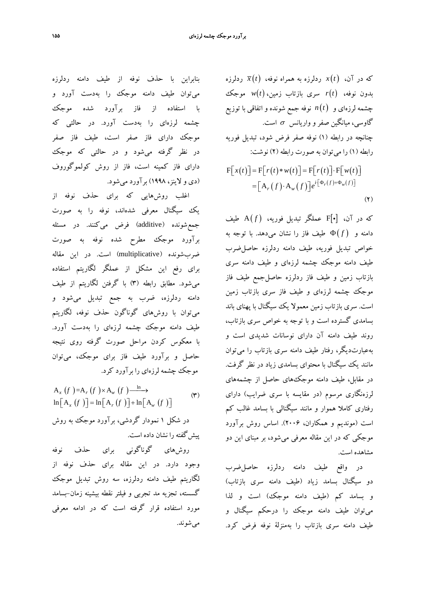كه در آن، *t* ( )*x* ردلرزه به همراه نوفه، (*t* (*x* ردلرزه بدون نوفه، ( )*t r* سري بازتاب زمين، ( )*t w* موجك چشمه لرزهاي و ( )*t n* نوفه جمع شونده و اتفاقي با توزيع گاوسی، ميانگين صفر و واريانس  $\sigma$  است. چنانچه در رابطه (1) نوفه صفر فرض شود، تبديل فوريه رابطه (1) را ميتوان به صورت رابطه (2) نوشت:

$$
F[x(t)] = F[r(t) * w(t)] = F[r(t)] \cdot F[w(t)]
$$

$$
= [A_r(f) \cdot A_w(f)] e^{i[\Phi_r(f) + \Phi_w(f)]}
$$
(7)

كه در آن، [i[F عملگر تبديل فوريه، ( *f*( A طيف دامنه و *f*( ) Φ طيف فاز را نشان ميدهد. با توجه به خواص تبديل فوريه، طيف دامنه ردلرزه حاصلضرب طيف دامنه موجك چشمه لرزهاي و طيف دامنه سري بازتاب زمين و طيف فاز ردلرزه حاصلجمع طيف فاز موجك چشمه لرزهاي و طيف فاز سري بازتاب زمين است. سري بازتاب زمين معمولا يك سيگنال با پهناي باند بسامدي گسترده است و با توجه به خواص سري بازتاب، روند طيف دامنه آن داراي نوسانات شديدي است و بهعبارتديگر، رفتار طيف دامنه سري بازتاب را ميتوان مانند يك سيگنال با محتواي بسامدي زياد در نظر گرفت. در مقابل، طيف دامنه موجكهاي حاصل از چشمههاي لرزهنگاري مرسوم (در مقايسه با سري ضرايب) داراي رفتاري كاملا هموار و مانند سيگنالي با بسامد غالب كم است (مونديم و همكاران، 2006). اساس روش برآورد موجكي كه در اين مقاله معرفي ميشود، بر مبناي اين دو مشاهده است.

در واقع طيف دامنه ردلرزه حاصلضرب دو سيگنال بسامد زياد (طيف دامنه سري بازتاب) و بسامد كم (طيف دامنه موجك) است و لذا ميتوان طيف دامنه موجك را درحكم سيگنال و طيف دامنه سري بازتاب را بهمنزلة نوفه فرض كرد.

بنابراين با حذف نوفه از طيف دامنه ردلرزه ميتوان طيف دامنه موجك را بهدست آورد و با استفاده از فاز برآورد شده موجك چشمه لرزهاي را بهدست آورد. در حالتي كه موجك داراي فاز صفر است، طيف فاز صفر در نظر گرفته ميشود و در حالتي كه موجك داراي فاز كمينه است، فاز از روش كولموگوروف (دي و لاينز، 1998) برآورد ميشود.

اغلب روشهايي كه براي حذف نوفه از يك سيگنال معرفي شدهاند، نوفه را به صورت جمعشونده (additive (فرض ميكنند. در مسئله برآورد موجك مطرح شده نوفه به صورت ضربشونده (multiplicative (است. در اين مقاله براي رفع اين مشكل از عملگر لگاريتم استفاده ميشود. مطابق رابطه (3) با گرفتن لگاريتم از طيف دامنه ردلرزه، ضرب به جمع تبديل ميشود و ميتوان با روشهاي گوناگون حذف نوفه، لگاريتم طيف دامنه موجك چشمه لرزهاي را بهدست آورد. با معكوس كردن مراحل صورت گرفته روي نتيجه حاصل و برآورد طيف فاز براي موجك، ميتوان موجك چشمه لرزهاي را برآورد كرد.

 (3) () () () () () () ln A =A A ln A ln A ln A × ⎯⎯→ ⎡ ⎤ ⎡ ⎤⎡ ⎤ = + ⎣ ⎦ ⎣ ⎦⎣ ⎦ *xrw x rw ff f <sup>f</sup> f f* در شكل 1 نمودار گردشي، برآورد موجك به روش پيشگفته را نشان داده است.

روشهاي گوناگوني براي حذف نوفه وجود دارد. در اين مقاله براي حذف نوفه از لگاريتم طيف دامنه ردلرزه، سه روش تبديل موجك گسسته، تجزيه مد تجربي و فيلتر نقطه بيشينه زمان-بسامد مورد استفاده قرار گرفته است كه در ادامه معرفي ميشوند.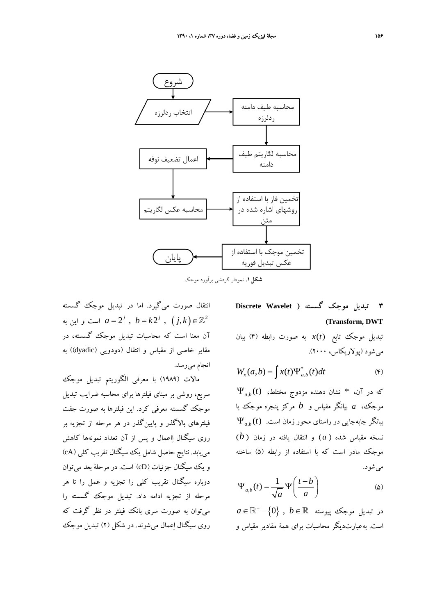

**شكل.1** نمودار گردشي برآورد موجك.

انتقال صورت ميگيرد. اما در تبديل موجك گسسته است و اين به  $a = 2^j$  ,  $b = k 2^j$  ,  $(j,k) \in \mathbb{Z}^2$ آن معنا است كه محاسبات تبديل موجك گسسته، در مقاير خاصي از مقياس و انتقال (دودويي (dyadic)) به انجام ميرسد.

مالات (1989) با معرفي الگوريتم تبديل موجك سريع، روشي بر مبناي فيلترها براي محاسبه ضرايب تبديل موجك گسسته معرفي كرد. اين فيلترها به صورت جفت فيلترهاي بالاگذر و پايينگذر در هر مرحله از تجزيه بر روي سيگنال ااعمال و پس از آن تعداد نمونهها كاهش مييابد. نتايج حاصل شامل يك سيگنال تقريب كلي (cA ( و يك سيگنال جزئيات (cD (است. در مرحلة بعد ميتوان دوباره سيگنال تقريب كلي را تجزيه و عمل را تا هر مرحله از تجزيه ادامه داد. تبديل موجك گسسته را ميتوان به صورت سري بانك فيلتر در نظر گرفت كه روي سيگنال اعمال ميشوند. در شكل (2) تبديل موجك

**3 تبديل موجك گسسته ( Wavelet Discrete (Transform, DWT**

تبديل موجك تابع *t*( )*x* به صورت رابطه (4) بيان ميشود (پولاريكاس، 2000).

$$
W_x(a,b) = \int x(t) \Psi_{a,b}^*(t) dt
$$
 (9)

 $\Psi_{a,b}(t)$  که در آن،  $*$  نشان دهنده مزدوج مختلط، موجك، *a* بيانگر مقياس و *b* مركز پنجره موجك يا  $\Psi_{_{a,b}}(t)$  بيانگر جابهجايي در راستاي محور زمان است. نسخه مقياس شده ( *a* ( و انتقال يافته در زمان ( *b* ( موجك مادر است كه با استفاده از رابطه (5) ساخته ميشود.

$$
\Psi_{a,b}(t) = \frac{1}{\sqrt{a}} \Psi\left(\frac{t-b}{a}\right) \tag{2}
$$

 $a \in \mathbb{R}^+$  در تبديل موجك پيوسته  $b \in \mathbb{R}$  ,  $b \in \mathbb{R}$ است. بهعبارتديگر محاسبات براي همة مقادير مقياس و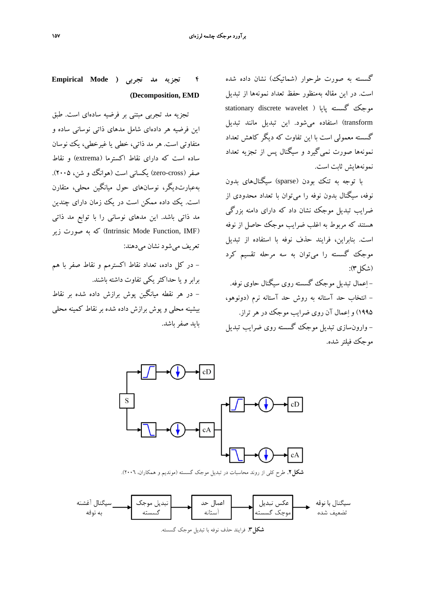گسسته به صورت طرحوار (شماتيك) نشان داده شده است. در اين مقاله بهمنظور حفظ تعداد نمونهها از تبديل stationary discrete wavelet ) موجك گسسته پايا transform (استفاده ميشود. اين تبديل مانند تبديل گسسته معمولي است با اين تفاوت كه ديگر كاهش تعداد نمونهها صورت نميگيرد و سيگنال پس از تجزيه تعداد نمونههايش ثابت است.

با توجه به تنك بودن (sparse (سيگنالهاي بدون نوفه، سيگنال بدون نوفه را ميتوان با تعداد محدودي از ضرايب تبديل موجك نشان داد كه داراي دامنه بزرگي هستند كه مربوط به اغلب ضرايب موجك حاصل از نوفه است. بنابراين، فرايند حذف نوفه با استفاده از تبديل موجك گسسته را ميتوان به سه مرحله تقسيم كرد (شكل):

- اعمال تبديل موجك گسسته روي سيگنال حاوي نوفه. - انتخاب حد آستانه به روش حد آستانه نرم (دونوهو، 1995) و اعمال آن روي ضرايب موجك در هرتراز. - وارونسازي تبديل موجك گسسته روي ضرايب تبديل موجك فيلتر شده.

### **4 تجزيه مد تجربي ( Mode Empirical (Decomposition, EMD**

تجزيه مد تجربي مبتني بر فرضيه سادهاي است. طبق اين فرضيه هر دادهاي شامل مدهاي ذاتي نوساني ساده و متفاوتي است. هر مد ذاتي، خطي يا غيرخطي، يك نوسان ساده است كه داراي نقاط اكسترما (extrema (و نقاط صفر (zero-cross) يكساني است (هوانگ و شن، ۲۰۰۵). بهعبارتديگر، نوسانهاي حول ميانگين محلي، متقارن است. يك داده ممكن است در يك زمان داراي چندين مد ذاتي باشد. اين مدهاي نوساني را با توابع مد ذاتي (Intrinsic Mode Function, IMF) كه به صورت زير تعريف ميشود نشان ميدهند:

- در كل داده، تعداد نقاط اكسترمم و نقاط صفر با هم برابرو يا حداكثر يكي تفاوت داشته باشند. - در هر نقطه ميانگين پوش برازش داده شده بر نقاط بيشينه محلي و پوش برازش داده شده بر نقاط كمينه محلي بايد صفر باشد.



**شكل.2** طرح كلي از روند محاسبات در تبديل موجك گسسته (مونديم و همكاران، 2006).



**شكل.3** فرايند حذف نوفه با تبديل موجك گسسته.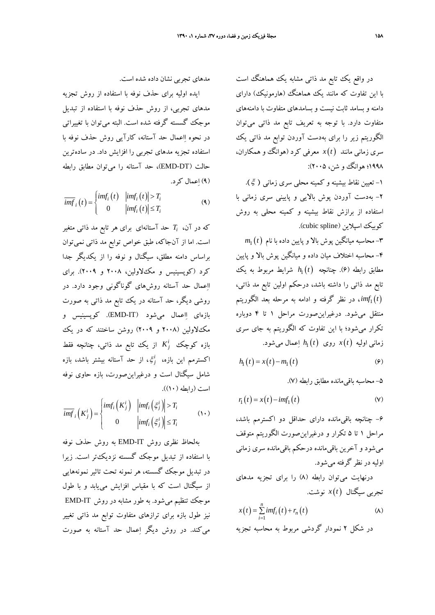در واقع يك تابع مد ذاتي مشابه يك هماهنگ است با اين تفاوت كه مانند يك هماهنگ (هارمونيك) داراي دامنه و بسامد ثابت نيست و بسامدهاي متفاوت با دامنههاي متفاوت دارد. با توجه به تعريف تابع مد ذاتي ميتوان الگوريتم زير را براي بهدست آوردن توابع مد ذاتي يك سري زماني مانند *t* ( )*x* معرفي كرد (هوانگ و همكاران، ۱۹۹۸؛ هوانگ و شن، ۲۰۰۵): -1 تعيين نقاط بيشينه و كمينه محلي سري زماني ( ξ(. -2 بهدست آوردن پوش بالايي و پاييني سري زماني با استفاده از برازش نقاط بيشينه و كمينه محلي به روش كوبيك اسپلاين (cubic spline).  $m_{1}\left( t\right)$  - محاسبه ميانگين پوش بالا و پايين داده با نام  $-$ ۳ -4 محاسبه اختلاف ميان داده و ميانگين پوش بالا و پايين  $h_{\rm l}\left(t\right)$  مطابق رابطه (۶). چنانچه  $h_{\rm l}\left(t\right)$  شرايط مربوط به يك تابع مد ذاتي را داشته باشد، درحكم اولين تابع مد ذاتي، *t imf* ، در نظر گرفته و ادامه به مرحله بعد الگوريتم <sup>1</sup> ( ) منتقل ميشود. درغيراينصورت مراحل 1 تا 4 دوباره تكرار ميشود؛ با اين تفاوت كه الگوريتم به جاي سري *t h* اعمال ميشود. <sup>1</sup> زماني اوليه *t* ( )*x* روي ( )

$$
h_1(t) = x(t) - m_1(t) \tag{9}
$$

-5 محاسبه باقيمانده مطابق رابطه (7).

$$
r_1(t) = x(t) - imf_1(t)
$$
 (V)

-6 چنانچه باقيمانده داراي حداقل دو اكسترمم باشد، مراحل 1 تا 5 تكرار و درغيراينصورت الگوريتم متوقف ميشود و آخرين باقيمانده درحكم باقيمانده سري زماني اوليه در نظر گرفته ميشود.

درنهايت ميتوان رابطه (8) را براي تجزيه مدهاي تجربي سيگنال *t* ( )*x* نوشت.

$$
x(t) = \sum_{i=1}^{n} imf_i(t) + r_n(t)
$$
\n
$$
\text{(A)}
$$
\n
$$
x(t) = \sum_{i=1}^{n} imf_i(t) + r_n(t)
$$

مدهاي تجربي نشان داده شده است.

ايده اوليه براي حذف نوفه با استفاده از روش تجزيه مدهاي تجربي، از روش حذف نوفه با استفاده از تبديل موجك گسسته گرفته شده است. البته ميتوان با تغييراتي در نحوه ااعمال حد آستانه، كارآيي روش حذف نوفه با استفاده تجزيه مدهاي تجربي را افزايش داد. در سادهترين حالت (DT-EMD(، حد آستانه را ميتوان مطابق رابطه (9) اعمال كرد.

$$
\overline{imf}_i(t) = \begin{cases} imf_i(t) & |imf_i(t)| > T_i \\ 0 & |imf_i(t)| \le T_i \end{cases}
$$
 (4)

كه در آن، *Ti* حد آستانهاي براي هر تابع مد ذاتي متغير است. اما از آنجاكه، طبق خواص توابع مد ذاتي نميتوان براساس دامنه مطلق، سيگنال و نوفه را از يكديگر جدا كرد (كوپسينيس و مكلاولين، 2008 و 2009). براي ااعمال حد آستانه روشهاي گوناگوني وجود دارد. در روشي ديگر، حد آستانه در يك تابع مد ذاتي به صورت بازهاي ااعمال ميشود (IT-EMD(. كوپسينيس و مكلاولين (2008 و 2009) روشن ساختند كه در يك از يك تابع مد ذاتي، چنانچه فقط *<sup>j</sup> <sup>K</sup> <sup>i</sup>* بازه كوچك *i* اكسترمم اين بازه، ξ، از حد آستانه بيشتر باشد، بازه *<sup>j</sup>* شامل سيگنال است و درغيراينصورت، بازه حاوي نوفه است (رابطه (10)).

$$
\overline{imf}_i\left(K_j^i\right) = \begin{cases} imf_i\left(K_j^i\right) & \left|imf_i\left(\xi_j^i\right)\right| > T_i \\ 0 & \left|imf_i\left(\xi_j^i\right)\right| \le T_i \end{cases} \tag{1-}
$$

بهلحاظ نظري روش IT-EMD به روش حذف نوفه با استفاده از تبديل موجك گسسته نزديكتر است. زيرا در تبديل موجك گسسته، هر نمونه تحت تاثير نمونههايي از سيگنال است كه با مقياس افزايش مييابد و با طول موجك تنظيم ميشود. به طور مشابه در روش IT-EMD نيز طول بازه براي ترازهاي متفاوت توابع مد ذاتي تغيير ميكند. در روش ديگر اعمال حد آستانه به صورت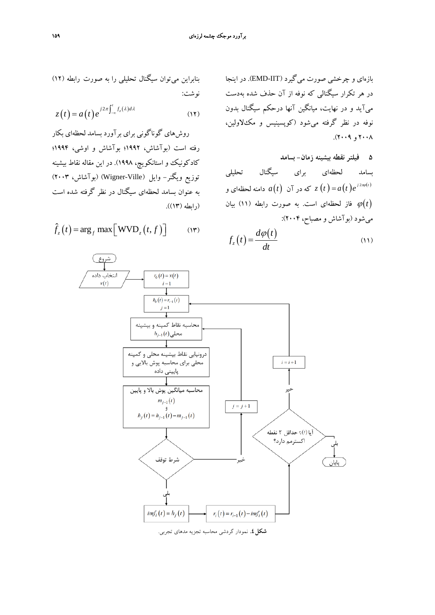بازهاي و چرخشي صورت ميگيرد (IIT-EMD(. در اينجا در هر تكرار سيگنالي كه نوفه از آن حذف شده بهدست ميآيد و در نهايت، ميانگين آنها درحكم سيگنال نوفه در نظر گرفته مي شود (كوپسينيس و مك  $X \cdot Y$ و ۲۰۰۹).

**5 فيلتر نقطه بيشينه زمان- بسامد**  بسامد لحظهاي براي سيگنال تحليلي وامنه لحظه $a(t)$  كه در آن  $a(t)$  دامنه لحظهاى و  $z\left( t\right)$ (*t*(<sup>ϕ</sup> فاز لحظهاي است. به صورت رابطه (11) بيان ميشود (بوآشاش و مصباح، 2004):

$$
z(t) = a(t)e^{j2\pi \int_{-\infty}^{t} f_z(\lambda)d\lambda}
$$
\n(17)

\nYely.

\nY(1) = 0

نوشت:

لحظهاي بكار رفته است (بوآشاش، 1992؛ بوآشاش و اوشي، 1994؛ كادكونيك و استانكويچ، 1998). در اين مقاله نقاط بيشينه توزيع ويگنر- وايل (Ville-Wigner) (بوآشاش، 2003) به عنوان بسامد لحظهاي سيگنال در نظر گرفته شده است (رابطه (13)).

بنابراين ميتوان سيگنال تحليلي را به صورت رابطه (12)

$$
\hat{f}_z(t) = \arg_f \max \left[ \text{WVD}_z(t, f) \right] \quad (\text{Y})
$$

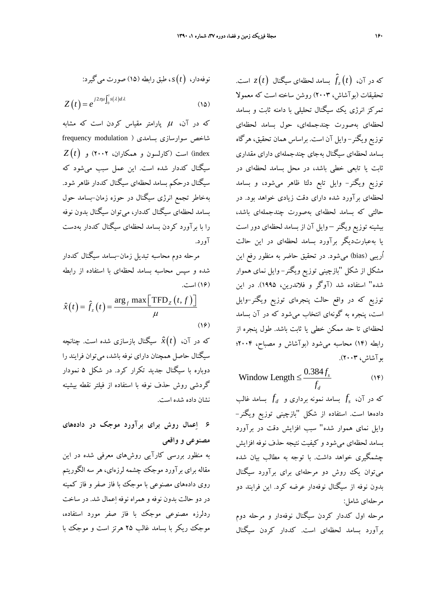نوفادار، (1) د، طبق رابطه (1۵) صورت می گیرد:  

$$
Z(t) = e^{j2\pi\mu \int_0^t s(\lambda)d\lambda}
$$

كه در آن،  $\mu$  پارامتر مقياس كردن است كه مشابه شاخص سوارسازي بسامدي ( modulation frequency index (است (كارلسون و همكاران، 2002) و (*t* (*Z* سيگنال كددار شده است. اين عمل سبب ميشود كه سيگنال درحكم بسامد لحظهاي سيگنال كددار ظاهر شود. بهخاطر تجمع انرژي سيگنال در حوزه زمان-بسامد حول بسامد لحظهاي سيگنال كددار، ميتوان سيگنال بدون نوفه را با برآورد كردن بسامد لحظهاي سيگنال كددار بهدست آورد.

مرحله دوم محاسبه تبديل زمان-بسامد سيگنال كددار شده و سپس محاسبه بسامد لحظهاي با استفاده از رابطه (16) است.

$$
\hat{x}(t) = \hat{f}_z(t) = \frac{\arg_f \max\left[\text{TFD}_z(t, f)\right]}{\mu}
$$
\n(19)

كه در آن، (*t*ˆ(*x* سيگنال بازسازي شده است. چنانچه سيگنال حاصل همچنان داراي نوفه باشد، ميتوان فرايند را دوباره با سيگنال جديد تكرار كرد. در شكل 5 نمودار گردشي روش حذف نوفه با استفاده از فيلتر نقطه بيشينه نشان داده شده است.

## **6 اعمال روش براي برآورد موجك در دادههاي مصنوعي و واقعي**

به منظور بررسي كارآيي روشهاي معرفي شده در اين مقاله براي برآورد موجك چشمه لرزهاي، هر سه الگوريتم روي دادههاي مصنوعي با موجك با فاز صفر و فاز كمينه در دو حالت بدون نوفه و همراه نوفه اعمال شد. در ساخت ردلرزه مصنوعي موجك با فاز صفر مورد استفاده، موجك ريكر با بسامد غالب 25 هرتز است و موجك با

که در آن،  $\hat{f}_z\left(t\right)$  بسامد لحظهای سیگنال  $z(t)$  است. تحقيقات (بوآشاش، 2003) روشن ساخته است كه معمولا تمركز انرژي يك سيگنال تحليلي با دامنه ثابت و بسامد لحظهاي بهصورت چندجملهاي، حول بسامد لحظهاي توزيع ويگنر- وايل آن است. براساس همان تحقيق، هرگاه بسامد لحظهاي سيگنال بهجاي چندجملهاي داراي مقداري ثابت يا تابعي خطي باشد، در محل بسامد لحظهاي در توزيع ويگنر- وايل تابع دلتا ظاهر ميشود، و بسامد لحظهاي برآورد شده داراي دقت زيادي خواهد بود. در حالتي كه بسامد لحظهاي بهصورت چندجملهاي باشد، بيشينه توزيع ويگنر – وايل آن از بسامد لحظهاي دور است يا بهعبارتديگر برآورد بسامد لحظهاي در اين حالت اُريبي (bias (ميشود. در تحقيق حاضر به منظور رفع اين مشكل از شكل "بازچيني توزيع ويگنر- وايل نماي هموار شده" استفاده شد (آوگر و فلاندرين، 1995). در اين توزيع كه در واقع حالت پنجرهاي توزيع ويگنر-وايل است، پنجره به گونهاي انتخاب ميشود كه در آن بسامد لحظهاي تا حد ممكن خطي يا ثابت باشد. طول پنجره از رابطه (14) محاسبه ميشود (بوآشاش و مصباح، 2004؛ بوآشاش، 2003).

 $(1)$ Window Length  $\leq \frac{0.384 f_s}{s}$ *d* Window Length  $\leq \frac{0.384f}{f_d}$ 

*f* بسامد غالب *<sup>d</sup> f* بسامد نمونه برداري و *<sup>s</sup>* كه در آن، دادهها است. استفاده از شكل "بازچيني توزيع ويگنر- وايل نماي هموار شده" سبب افزايش دقت در برآورد بسامد لحظهاي ميشود و كيفيت نتيجه حذف نوفه افزايش چشمگيري خواهد داشت. با توجه به مطالب بيان شده ميتوان يك روش دو مرحلهاي براي برآورد سيگنال بدون نوفه از سيگنال نوفهدار عرضه كرد. اين فرايند دو مرحلهاي شامل:

مرحله اول كددار كردن سيگنال نوفهدار و مرحله دوم برآورد بسامد لحظهاي است. كددار كردن سيگنال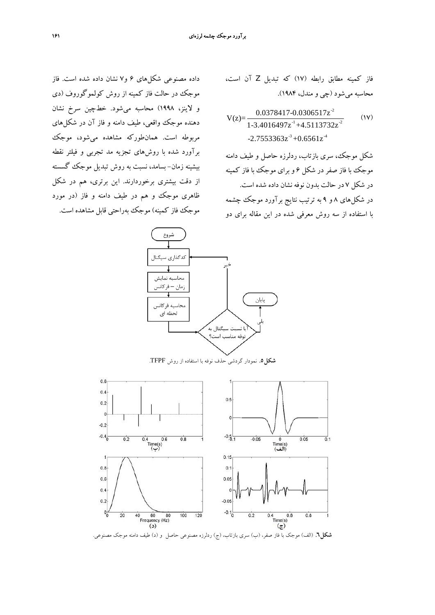داده مصنوعي شكلهاي 6 و7 نشان داده شده است. فاز موجك در حالت فاز كمينه از روش كولموگوروف (دي و لاينز، 1998) محاسبه ميشود. خطچين سرخ نشان دهنده موجك واقعي، طيف دامنه و فاز آن در شكلهاي مربوطه است. همانطوركه مشاهده ميشود، موجك برآورد شده با روشهاي تجزيه مد تجربي و فيلتر نقطه بيشينه زمان- بسامد، نسبت به روش تبديل موجك گسسته از دقت بيشتري برخوردارند. اين برتري، هم در شكل ظاهري موجك و هم در طيف دامنه و فاز (در مورد موجك فاز كمينه) موجك بهراحتي قابل مشاهده است.

فاز كمينه مطابق رابطه (17) كه تبديل Z آن است، محاسبه ميشود (چي و مندل، 1984).

$$
V(z) = \frac{0.0378417 - 0.0306517z^2}{1 - 3.4016497z^{-1} + 4.5113732z^2}
$$
 (1V)  
-2.7553363z<sup>-3</sup> + 0.6561z<sup>-4</sup>

شكل موجك، سري بازتاب، ردلرزه حاصل و طيف دامنه موجك با فاز صفر در شكل 6 و براي موجك با فاز كمينه در شكل 7 در حالت بدون نوفه نشان داده شده است. در شكلهاي 8 و 9 به ترتيب نتايج برآورد موجك چشمه با استفاده از سه روش معرفي شده در اين مقاله براي دو



**شكل.5** نمودار گردشي حذف نوفه با استفاده از روش TFPF.



**شكل.6** (الف) موجك با فاز صفر، (ب) سري بازتاب، (ج) ردلرزه مصنوعي حاصل و (د) طيف دامنه موجك مصنوعي.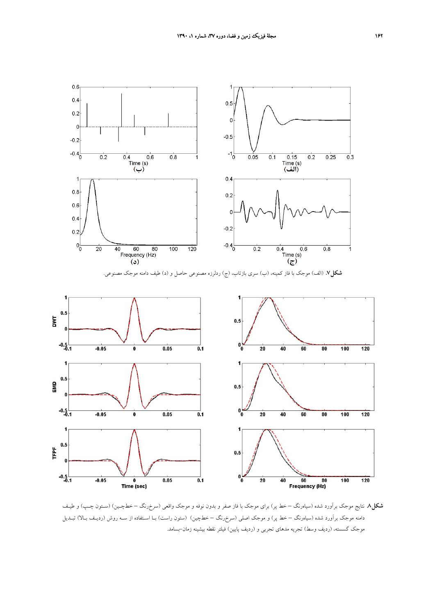

**شكل.8** نتايج موجك برآورد شده (سياهرنگ – خط پر) براي موجك با فاز صفر و بدون نوفه و موجك واقعي (سرخرنگ – خطچـين) (سـتون چـپ) و طيـف دامنه موجك برآورد شده (سياهرنگ – خط پر) و موجك اصلي (سرخرنگ – خطچين) (ستون راست) بـا اسـتفاده از سـه روش (رديـف بـالا) تبـديل موجك گسسته، (رديف وسط) تجريه مدهاي تجربي و (رديف پايين) فيلتر نقطه بيشينه زمان-بسامد.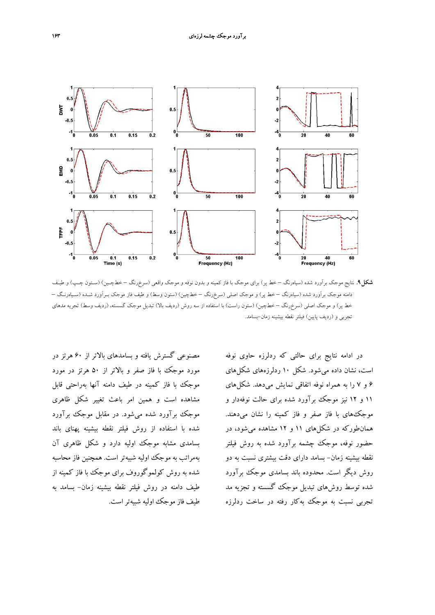

**شكل.9** نتايج موجك برآورد شده (سياهرنگ – خط پر) براي موجك با فاز كمينه و بدون نوفه و موجك واقعي (سرخرنگ – خطچـين) (سـتون چـپ) و طيـف دامنه موجك برآورد شده (سياهرنگ – خط پر) و موجك اصلي (سرخرنگ – خطچين) (ستون وسط) و طيف فاز موجك بـرآورد شـده (سـياهرنـگ – خط پر) و موجك اصلي (سرخرنگ – خطچين) (ستون راست) با استفاده از سه روش (رديف بالا) تبديل موجك گسسته، (رديف وسط) تجريه مدهاي تجربي و (رديف پايين) فيلتر نقطه بيشينه زمان-بسامد.

مصنوعي گسترش يافته و بسامدهاي بالاتر از 60 هرتز در مورد موجك با فاز صفر و بالاتر از 50 هرتز در مورد موجك با فاز كمينه در طيف دامنه آنها بهراحتي قابل مشاهده است و همين امر باعث تغيير شكل ظاهري موجك برآورد شده ميشود. در مقابل موجك برآورد شده با استفاده از روش فيلتر نقطه بيشينه پهناي باند بسامدي مشابه موجك اوليه دارد و شكل ظاهري آن بهمراتب به موجك اوليه شبيهتر است. همچنين فاز محاسبه شده به روش كولموگوروف براي موجك با فاز كمينه از طيف دامنه در روش فيلتر نقطه بيشينه زمان- بسامد به

در ادامه نتايج براي حالتي كه ردلرزه حاوي نوفه است، نشان داده ميشود. شكل 10 ردلرزههاي شكلهاي 6 و 7 را به همراه نوفه اتفاقي نمايش ميدهد. شكلهاي 11 و 12 نيز موجك برآورد شده براي حالت نوفهدار و موجكهاي با فاز صفر و فاز كمينه را نشان ميدهند. همانطوركه در شكلهاي 11 و 12 مشاهده ميشود، در حضور نوفه، موجك چشمه برآورد شده به روش فيلتر نقطه بيشينه زمان- بسامد داراي دقت بيشتري نسبت به دو روش ديگر است. محدوده باند بسامدي موجك برآورد شده توسط روشهاي تبديل موجك گسسته و تجزيه مد تجربي نسبت به موجك بهكار رفته در ساخت ردلرزه طيف فاز موجك اوليه شبيهتراست.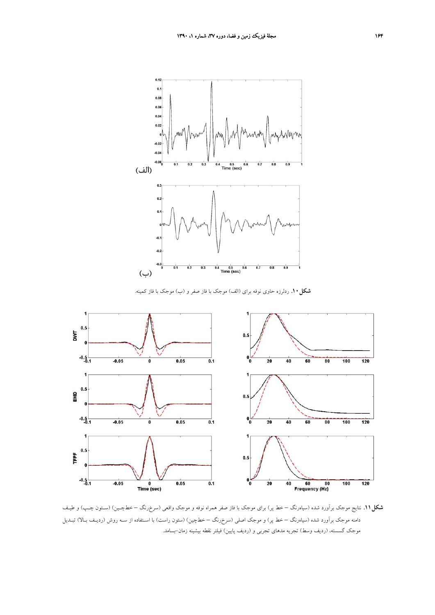

**شكل.10** ردلرزه حاوي نوفه براي (الف) موجك با فاز صفر و (ب) موجك با فاز كمينه.



**شكل.11** نتايج موجك برآورد شده (سياهرنگ – خط پر) براي موجك با فاز صفر همراه نوفه و موجك واقعي (سرخرنگ – خطچـين) (سـتون چـپ) و طيـف دامنه موجك برآورد شده (سياهرنگ – خط پر) و موجك اصلي (سرخرنگ – خطچين) (ستون راست) با اسـتفاده از سـه روش (رديـف بـالا) تبـديل موجك گسسته، (رديف وسط) تجريه مدهاي تجربي و (رديف پايين) فيلتر نقطه بيشينه زمان-بسامد.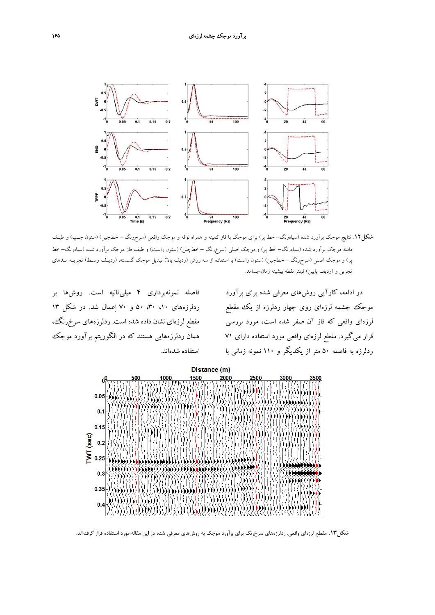

**شكل.12** نتايج موجك برآورد شده (سياهرنگ– خط پر) براي موجك با فاز كمينه و همراه نوفه و موجك واقعي (سرخرنگ – خطچين) (ستون چـپ) و طيـف دامنه موجك برآورد شده (سياهرنگ– خط پر) و موجك اصلي (سرخرنگ – خطچين) (ستون راست) و طيف فاز موجك برآورد شده (سياهرنگ– خط پر) و موجك اصلي (سرخرنگ – خطچين) (ستون راست) با استفاده از سه روش (رديف بالا) تبديل موجك گسسته، (رديـف وسـط) تجريـه مـدهاي تجربي و (رديف پايين) فيلتر نقطه بيشينه زمان-بسامد.

فاصله نمونهبرداري 4 ميليثانيه است. روشها بر ردلرزههاي ،10 ،30 50 و 70 اعمال شد. در شكل 13 مقطع لرزهاي نشان داده شده است. ردلرزههاي سرخرنگ، همان ردلرزههايي هستند كه در الگوريتم برآورد موجك استفاده شدهاند.

در ادامه، كارآيي روشهاي معرفي شده براي برآورد موجك چشمه لرزهاي روي چهار ردلرزه از يك مقطع لرزهاي واقعي كه فاز آن صفر شده است، مورد بررسي قرار ميگيرد. مقطع لرزهاي واقعي مورد استفاده داراي 71 ردلرزه به فاصله 50 متر از يكديگر و 110 نمونه زماني با



**شكل.13** مقطع لرزهاي واقعي. ردلرزههاي سرخرنگ براي برآورد موجك به روشهاي معرفي شده در اين مقاله مورد استفاده قرار گرفتهاند.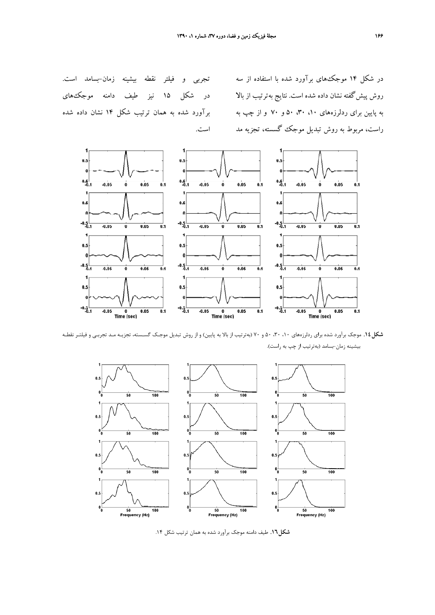در شكل 14 موجكهاي برآورد شده با استفاده از سه به پايين براي ردلرزههاي ،10 ،30 50 و 70 و از چپ به راست، مربوط به روش تبديل موجك گسسته، تجزيه مد

روش پيش گفته نشان داده شده است. نتايج بهترتيب از بالا در شكل 10 نيز طيف دامنه موجك&اى تجربي و فيلتر نقطه بيشينه زمان-بسامد است. برآورد شده به همان ترتيب شكل 14 نشان داده شده است.



**شكل.14** موجك برآورد شده براي ردلرزههاي ،10 ،30 50 و 70 (بهترتيب از بالا به پايين) و از روش تبديل موجـك گسـسته، تجزيـه مـد تجربـي و فيلتـر نقطـه بيشينه زمان-بسامد (بهترتيب از چپ به راست).



**شكل.16** طيف دامنه موجك برآورد شده به همان ترتيب شكل .14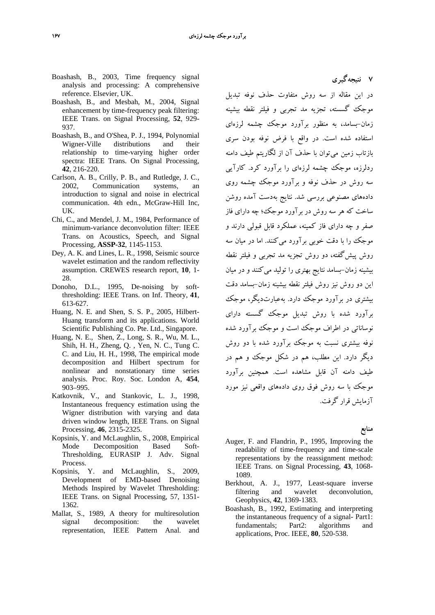- Boashash, B., 2003, Time frequency signal analysis and processing: A comprehensive reference. Elsevier, UK.
- Boashash, B., and Mesbah, M., 2004, Signal enhancement by time-frequency peak filtering: IEEE Trans. on Signal Processing, **52**, 929- 937.
- Boashash, B., and O'Shea, P. J., 1994, Polynomial Wigner-Ville distributions and their relationship to time-varying higher order spectra: IEEE Trans. On Signal Processing, **42**, 216-220.
- Carlson, A. B., Crilly, P. B., and Rutledge, J. C., 2002, Communication systems, an introduction to signal and noise in electrical communication. 4th edn., McGraw-Hill Inc, UK.
- Chi, C., and Mendel, J. M., 1984, Performance of minimum-variance deconvolution filter: IEEE Trans. on Acoustics, Speech, and Signal Processing, **ASSP-32**, 1145-1153.
- Dey, A. K. and Lines, L. R., 1998, Seismic source wavelet estimation and the random reflectivity assumption. CREWES research report, **10**, 1- 28.
- Donoho, D.L., 1995, De-noising by softthresholding: IEEE Trans. on Inf. Theory, **41**, 613-627.
- Huang, N. E. and Shen, S. S. P., 2005, Hilbert-Huang transform and its applications. World Scientific Publishing Co. Pte. Ltd., Singapore.
- Huang, N. E., Shen, Z., Long, S. R., Wu, M. L., Shih, H. H., Zheng, Q. , Yen, N. C., Tung C. C. and Liu, H. H., 1998, The empirical mode decomposition and Hilbert spectrum for nonlinear and nonstationary time series analysis. Proc. Roy. Soc. London A, **454**, 903–995.
- Katkovnik, V., and Stankovic, L. J., 1998, Instantaneous frequency estimation using the Wigner distribution with varying and data driven window length, IEEE Trans. on Signal Processing, **46**, 2315-2325.
- Kopsinis, Y. and McLaughlin, S., 2008, Empirical Mode Decomposition Based Soft-Thresholding, EURASIP J. Adv. Signal Process.
- Kopsinis, Y. and McLaughlin, S., 2009, Development of EMD-based Denoising Methods Inspired by Wavelet Thresholding: IEEE Trans. on Signal Processing, 57, 1351- 1362.
- Mallat, S., 1989, A theory for multiresolution signal decomposition: the wavelet representation, IEEE Pattern Anal. and

در اين مقاله از سه روش متفاوت حذف نوفه تبديل موجك گسسته، تجزيه مد تجربي و فيلتر نقطه بيشينه زمان-بسامد، به منظور برآورد موجك چشمه لرزهاي استفاده شده است. در واقع با فرض نوفه بودن سري بازتاب زمين ميتوان با حذف آن از لگاريتم طيف دامنه ردلرزه، موجك چشمه لرزهاي را برآورد كرد. كارآيي سه روش در حذف نوفه و برآورد موجك چشمه روي دادههاي مصنوعي بررسي شد. نتايج بهدست آمده روشن ساخت كه هر سه روش در برآورد موجك؛ چه داراي فاز صفر و چه داراي فاز كمينه، عملكرد قابل قبولي دارند و موجك را با دقت خوبي برآورد ميكنند. اما در ميان سه روش پيشگفته، دو روش تجزيه مد تجربي و فيلتر نقطه بيشينه زمان-بسامد نتايج بهتري را توليد ميكنند و در ميان اين دو روش نيز روش فيلتر نقطه بيشينه زمان-بسامد دقت بيشتري در برآورد موجك دارد. بهعبارتديگر، موجك برآورد شده با روش تبديل موجك گسسته داراي نوساناتي در اطراف موجك است و موجك برآورد شده نوفه بيشتري نسبت به موجك برآورد شده با دو روش ديگر دارد. اين مطلب، هم در شكل موجك و هم در طيف دامنه آن قابل مشاهده است. همچنين برآورد موجك با سه روش فوق روي دادههاي واقعي نيز مورد آزمايش قرار گرفت.

**7 نتيجهگيري** 

**منابع** 

- Auger, F. and Flandrin, P., 1995, Improving the readability of time-frequency and time-scale representations by the reassignment method: IEEE Trans. on Signal Processing, **43**, 1068- 1089.
- Berkhout, A. J., 1977, Least-square inverse filtering and wavelet deconvolution, Geophysics, **42**, 1369-1383.
- Boashash, B., 1992, Estimating and interpreting the instantaneous frequency of a signal- Part1: fundamentals; Part2: algorithms and applications, Proc. IEEE, **80**, 520-538.